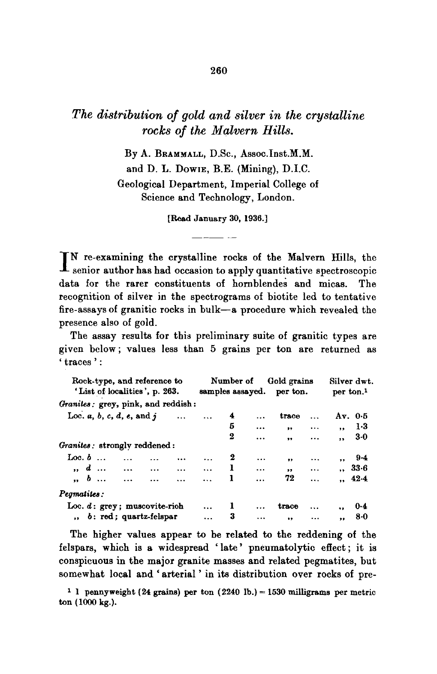## *The distribution of gold and silver in the crystalline rocks of the Malvern Hills.*

By A. BRAMMALL, D.Sc., Assoc.Inst.M.M. and D. L. DowIE, B.E. (Mining), D.I.C. Geological Department, Imperial College of Science and Technology, London.

> [Read January 30, 1936.]

IN re-examining the crystalline rocks of the Malvern Hills, the senior author has had occasion to apply quantitative spectroscopic data for the rarer constituents of hornblendes and micas. The recognition of silver in the spectrograms of biotite led to tentative fire-assays of granitic rocks in bulk-a procedure which revealed the presence also of gold.

The assay results for this preliminary suite of granitic types are given below; values less than 5 grains per ton are returned as ' traces':

| Rock-type, and reference to<br>'List of localities', p. 263. |  |  |                                    |                         | Number of<br>samples assayed. per ton. |              |              | Gold grains |                      | Silver dwt.<br>per ton. <sup>1</sup> |         |        |
|--------------------------------------------------------------|--|--|------------------------------------|-------------------------|----------------------------------------|--------------|--------------|-------------|----------------------|--------------------------------------|---------|--------|
|                                                              |  |  | Granites: grey, pink, and reddish: |                         |                                        |              |              |             |                      |                                      |         |        |
| Loc. a, b, c, d, e, and j                                    |  |  |                                    |                         |                                        | 4            |              | trace       | $\ddotsc$            |                                      | Av. 0.5 |        |
|                                                              |  |  |                                    |                         |                                        |              | 5            | $\cdots$    | $, \,$               | $\cdots$                             |         | , 1.3  |
|                                                              |  |  | Granites: strongly reddened:       |                         |                                        |              | $\bf{2}$     | $\cdots$    | $\mathbf{r}$         | $\ddotsc$                            |         | , 3.0  |
|                                                              |  |  | Loc. $b$                           |                         | $\cdots$                               |              | 2            | $\ddotsc$   | ,,                   | $\cdots$                             |         | , 9.4  |
|                                                              |  |  | $\overline{a}$ , $\overline{d}$    | $\sim 100$ km s $^{-1}$ | $\ddotsc$                              | $\ddotsc$    | $\mathbf{1}$ | $\ddotsc$   | $\ddot{\phantom{1}}$ | $\cdots$                             |         | , 33.6 |
|                                                              |  |  | ,, $b$                             |                         |                                        | $\cdots$     | 1            | $\cdots$    | 72                   | $\cdots$                             |         | , 42.4 |
| Pegmatites:                                                  |  |  |                                    |                         |                                        |              |              |             |                      |                                      |         |        |
| Loc. $d:$ grey; muscovite-rich<br>., b: red; quartz-felspar  |  |  |                                    |                         | $\ddotsc$                              | $\mathbf{1}$ |              | trace       | $\ddotsc$            |                                      | $0 - 4$ |        |
|                                                              |  |  |                                    |                         |                                        | 3            |              | $, \,$      | $\cdots$             | $\bullet$                            | - 8-0   |        |

The higher values appear to be related to the reddening of the felspars, which is a widespread 'late' pneumatolytic effect; it is conspicuous in the major granite masses and related pegmatites, but somewhat local and 'arterial' in its distribution over rocks of pre-

<sup>1</sup> 1 pennyweight (24 grains) per ton (2240 lb.) = 1530 milligrams per metric ton (1000 kg.).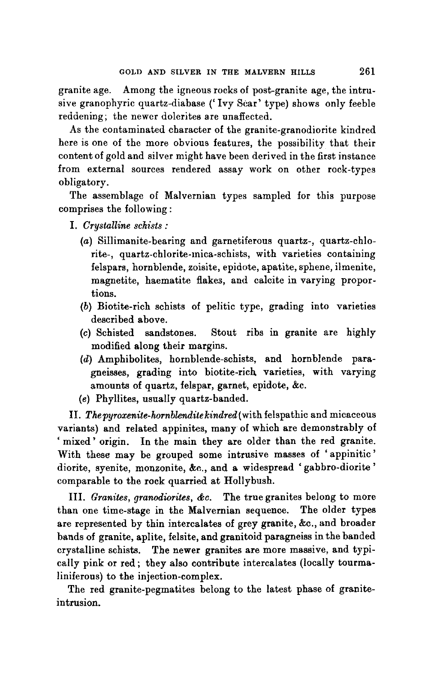granite age. Among the igneous rocks of post-granite age, the intrusive granophyric quartz-diabase (' Ivy Scar' type) shows only feeble reddening; the newer dolerites are unaffected.

As the contaminated character of the granite-granodiorite kindred here is one of the more obvious features, the possibility that their content of gold and silver might have been derived in the first instance from external sources rendered assay work on other rock-types obligatory.

The assemblage of Malvernian types sampled for this purpose comprises the following :

- *I. Crystalline schists :* 
	- (a) Sillimanite-bearing and garnetiferous quartz-, quartz-chlorite-, quartz-chlorite-mica-schists, with varieties containing felspars, hornblende, zoisite, epidote, apatite, sphene, ilmenite, magnetite, haematite flakes, and calcite in varying proportions.
	- (b) Biotite-rich schists of pelitic type, grading into varieties described above.
	- (c) Schisted sandstones. Stout ribs in granite are highly modified along their margins.
	- (d) Amphibolites, hornblende-schists, and hornblende paragneisses, grading into biotite-rick varieties, with varying amounts of quartz, felspar, garnet, epidote, &c.
	- (e) Phyllites, usually quartz-banded.

II. *Thepyroxenite-hornblenditekindred(with* felspathie and micaceous variants) and related appinites, many of which are demonstrably of ' mixed' origin. In the main they are older than the red granite. With these may be grouped some intrusive masses of 'appinitic' diorite, syenite, monzonite, &c., and a widespread 'gabbro-diorite' comparable to the rock quarried at Hollybush.

III. *Granites, granadiorites, &c.* The true granites belong to more than one time-stage in the Malvemian sequence. The older types are represented by thin intercalates of grey granite, &c., and broader bands of granite, aplite, felsite, and granitoid paragneiss in the ban ded crystalline schists. The newer granites are more massive, and typically pink or red ; they also contribute intercalates (locally tourmaliniferous) to the injection-complex.

The red granite-pegmatites belong to the latest phase of graniteintrusion.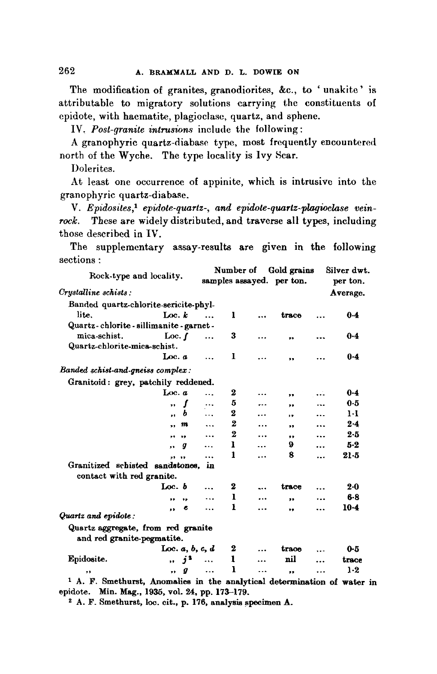The modification of granites, granodiorites, &c., to 'unakite' is attributable to migratory solutions carrying the constituents of epidote, with haematite, plagioclase, quartz, and sphene.

IV, *Post-granite intrusions* include the following:

A granophyric quartz-diabase type, most frequently encountered north of the Wyche. The type locality is Ivy Scar.

Dolerites.

At least one occurrence of appinite, which is intrusive into the granophyric quartz-diabase.

V. Epidosites,<sup>1</sup> epidote-quartz-, and epidote-quartz-plagioclase vein*rock.* These are widely distributed, and traverse all types, including those described in IV.

The supplementary assay-resulta are given in the following sections : Number of Gold grains Silver dwt.

| Rock-type and locality.                                                    | Number of<br>Gold grains<br>samples assayed. per ton. |           |                  |   |       | Silver dwt.<br>per ton. |          |  |
|----------------------------------------------------------------------------|-------------------------------------------------------|-----------|------------------|---|-------|-------------------------|----------|--|
| Crystalline schists:                                                       |                                                       |           |                  |   |       |                         | Average. |  |
| Banded quartz-chlorite-sericite-phyl-                                      |                                                       |           |                  |   |       |                         |          |  |
| lite.                                                                      | Loc. $k$                                              |           | ı                |   | trace |                         | 0-4      |  |
| Quartz-chlorite-sillimanite-garnet-                                        |                                                       |           |                  |   |       |                         |          |  |
| mica-schist.                                                               | Loc. $f$                                              |           | 3                |   | ,,    |                         | $0 - 4$  |  |
| Quartz-chlorite-mica-schist.                                               |                                                       |           |                  |   |       |                         |          |  |
|                                                                            | Loc. a                                                |           | 1                |   | ,,    |                         | $0-4$    |  |
| Banded schist-and-gneiss complex:                                          |                                                       |           |                  |   |       |                         |          |  |
| Granitoid: grey, patchily reddened.                                        |                                                       |           |                  |   |       |                         |          |  |
|                                                                            | Loc. a                                                |           | 2                |   | ,,    |                         | $0 - 4$  |  |
|                                                                            | f<br>$\overline{\phantom{a}}$                         |           | 5                |   | ,,    |                         | 0.5      |  |
|                                                                            | ь<br>                                                 | .         | 2                |   | ,,    |                         | 141      |  |
|                                                                            | m<br>                                                 |           | 2                |   | ,,    |                         | $2-4$    |  |
|                                                                            | ,,<br>$\overline{\phantom{a}}$                        |           | $\boldsymbol{2}$ |   | ,,    |                         | $2 - 5$  |  |
|                                                                            | g<br>$\ddot{\phantom{0}}$                             |           | ı                |   | 9     |                         | 5-2      |  |
|                                                                            | ,, ,,                                                 |           | 1                | . | 8     |                         | $21 - 5$ |  |
| Granitized schisted sandstones.                                            |                                                       | in        |                  |   |       |                         |          |  |
| contact with red granite.                                                  |                                                       |           |                  |   |       |                         |          |  |
|                                                                            | Toc. b                                                |           | 2                |   | trace |                         | $2-0$    |  |
|                                                                            | .,<br>                                                |           | ı                |   | ,,    |                         | $6-8$    |  |
|                                                                            | e<br>.,                                               |           | ı                |   | ,,    |                         | $10-4$   |  |
| Quartz and epidote:                                                        |                                                       |           |                  |   |       |                         |          |  |
| Quartz aggregate, from red granite<br>and red granite-pegmatite.           |                                                       |           |                  |   |       |                         |          |  |
|                                                                            | Loc. $a, b, c, d$                                     |           | 2                |   | trace |                         | 0-5      |  |
| Epidosite.                                                                 | ., j <sup>2</sup>                                     | $\ddotsc$ | ı                |   | nil   |                         | trace    |  |
| ,,                                                                         | a<br>$\ddot{\phantom{a}}$                             |           | ı                |   | ,,    |                         | $1-2$    |  |
| $1$ A. F. Smethurst, Anomalies in the analytical determination of water in |                                                       |           |                  |   |       |                         |          |  |

epidote. Min. Mag., 1935, vol. 24, pp. 173-179.

2 A. F. Smethurst, loc. cit., p. 176, analysis specimen A.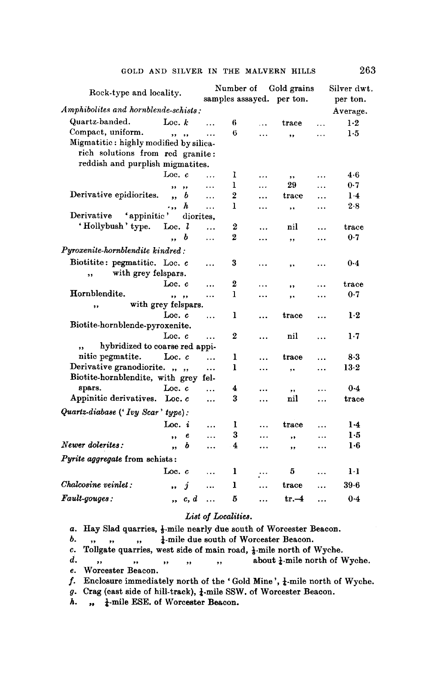| Rock-type and locality.                | Number of<br>samples assayed. |           |           | Gold grains<br>per ton. |          | Silver dwt.<br>per ton. |          |                |
|----------------------------------------|-------------------------------|-----------|-----------|-------------------------|----------|-------------------------|----------|----------------|
| Amphibolites and hornblende schists:   |                               |           |           |                         |          |                         |          | Average.       |
| Quartz-banded.                         | Loc. $k$                      |           | $\ddotsc$ | 6                       | $\cdots$ | trace                   | .        | 1·2            |
| Compact, uniform.                      | ,                             |           | $\ddotsc$ | 6                       | .        | ,,                      | .        | 1.5            |
| Migmatitic: highly modified by silica- |                               |           |           |                         |          |                         |          |                |
| rich solutions from red granite:       |                               |           |           |                         |          |                         |          |                |
| reddish and purplish migmatites.       |                               |           |           |                         |          |                         |          |                |
|                                        | Loc. $c$                      |           |           | ı                       | .        | $, \,$                  | .        | 4.6            |
|                                        | $, , \, ,$                    |           | .         | ı                       | .        | 29                      | $\cdots$ | 0.7            |
| Derivative epidiorites.                | .,                            | b         |           | $\overline{2}$          | .        | trace                   | .        | $1-4$          |
|                                        | $\ldots$                      | h         | $\ddotsc$ | ı                       | .        | ,,                      |          | 2.8            |
| Derivative<br>'appinitic'              |                               | diorites, |           |                         |          |                         |          |                |
| 'Hollybush' type.                      | Loc. $l$                      |           | .         | 2                       | .        | nil                     | .        | trace          |
|                                        |                               | b         | .         | 2                       | .        | ,,                      | .        | 0.7            |
| Pyroxenite-hornblendite kindred:       |                               |           |           |                         |          |                         |          |                |
| Biotitite: pegmatitic. Loc. c          |                               |           | .         | 3                       | .        | ,,                      | .        | 0.4            |
| with grey felspars.<br>,,              |                               |           |           |                         |          |                         |          |                |
|                                        | Loc. $c$                      |           |           | 2                       | .        | ,,                      | .        | trace          |
| Hornblendite.                          | ,, ,,                         |           |           | ı                       | .        | ,,                      |          | 0.7            |
| with grey felspars.<br>,,              |                               |           |           |                         |          |                         |          |                |
|                                        | Loc. $c$                      |           | $\cdots$  | ı                       |          | trace                   | .        | 1·2            |
| Biotite-hornblende-pyroxenite.         |                               |           |           |                         |          |                         |          |                |
|                                        | Loc. $c$                      |           | $\cdots$  | 2                       | $\cdots$ | nil                     | .        | 1.7            |
| hybridized to coarse red appi-<br>.,   |                               |           |           |                         |          |                         |          |                |
| nitic pegmatite.                       | Loc. $c$                      |           | $\ddotsc$ | ı                       | .        | trace                   | .        | $8 - 3$        |
| Derivative granodiorite. ., .,         |                               |           | $\cdots$  | ı                       | .        | ,,                      | .        | $13-2$         |
| Biotite-hornblendite, with grey        |                               |           | fel-      |                         |          |                         |          |                |
| spars.                                 | Loc. $c$                      |           | $\ddotsc$ | 4                       |          | ,,                      | .        | $0 - 4$        |
| Appinitic derivatives. Loc. c          |                               |           |           | 3                       | .        | nil                     | .        | $_{\rm trace}$ |
| Quartz-diabase ('Ivy Scar' type):      |                               |           |           |                         |          |                         |          |                |
|                                        | Loc. $i$                      |           | .         | ı                       | .        | trace                   | .        | 1.4            |
|                                        | ,,                            | e         | .         | 3                       | .        |                         |          | 1.5            |
| Newer dolerites:                       | $\overline{\phantom{a}}$      | b         | .         | 4                       | .        | ,,                      | .        | 1.6            |
|                                        |                               |           |           |                         |          | ,,                      |          |                |
| Pyrite aggregate from schists:         |                               |           |           |                         |          |                         |          |                |
|                                        | Loc. $c$                      |           | $\cdots$  | ı                       |          | 5                       | .        | 141            |
| Chalcosine veinlet:                    | .,                            | $\bm{j}$  | $\ddotsc$ | ı                       | .        | trace                   | .        | $39 - 6$       |
| Fault-gouges:                          | $, \, \,$                     | c, d      | .         | 5                       |          | $tr -4$                 |          | $0 - 4$        |

GOLD AND SILVER IN THE MALVERN HILLS

## *List of Localities.*

a. Hay Slad quarries,  $\frac{1}{3}$ -mile nearly due south of Worcester Beacon.

ь.  $\ldots$ ,  $\ldots$ ,  $\frac{1}{4}$ -mile due south of Worcester Beacon.

c. Tollgate quarries, west side of main road,  $\frac{1}{6}$ -mile north of Wyche.

 $\cdots$ ,  $\cdots$ ,  $\cdots$ ,  $\cdots$ ,  $\cdots$ , about  $\frac{1}{4}$ -mile north of Wyche. d.

Worcester Beacon. e.

f. Enclosure immediately north of the 'Gold Mine',  $\frac{1}{4}$ -mile north of Wyche.

g. Crag (east side of hill-track),  $\frac{1}{4}$ -mile SSW. of Worcester Beacon.

h., <sup>1</sup><sup>-</sup>mile ESE. of Worcester Beacon.